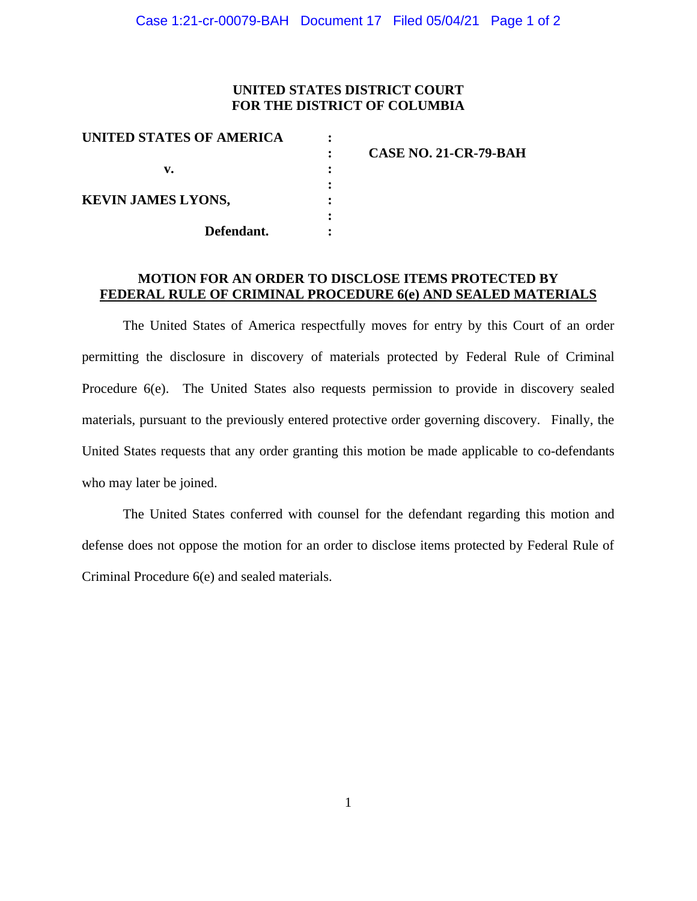## **UNITED STATES DISTRICT COURT FOR THE DISTRICT OF COLUMBIA**

| CASE NO. 21-CR-79-BAH |
|-----------------------|
|                       |
|                       |
|                       |
|                       |
|                       |
|                       |

## **MOTION FOR AN ORDER TO DISCLOSE ITEMS PROTECTED BY FEDERAL RULE OF CRIMINAL PROCEDURE 6(e) AND SEALED MATERIALS**

The United States of America respectfully moves for entry by this Court of an order permitting the disclosure in discovery of materials protected by Federal Rule of Criminal Procedure 6(e). The United States also requests permission to provide in discovery sealed materials, pursuant to the previously entered protective order governing discovery. Finally, the United States requests that any order granting this motion be made applicable to co-defendants who may later be joined.

The United States conferred with counsel for the defendant regarding this motion and defense does not oppose the motion for an order to disclose items protected by Federal Rule of Criminal Procedure 6(e) and sealed materials.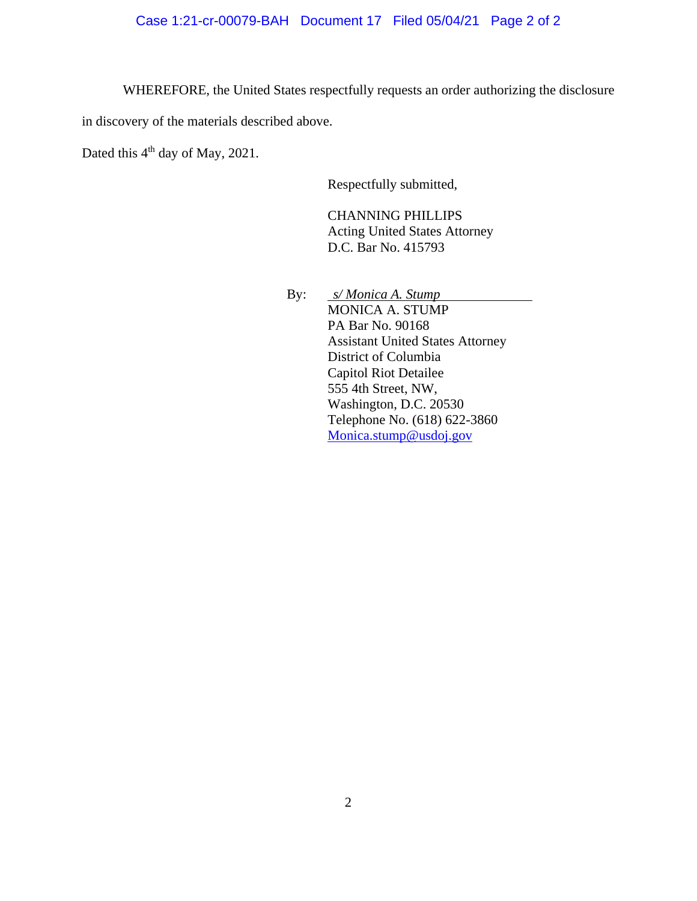WHEREFORE, the United States respectfully requests an order authorizing the disclosure

in discovery of the materials described above.

Dated this 4<sup>th</sup> day of May, 2021.

Respectfully submitted,

CHANNING PHILLIPS Acting United States Attorney D.C. Bar No. 415793

By: *s/ Monica A. Stump* MONICA A. STUMP PA Bar No. 90168 Assistant United States Attorney District of Columbia Capitol Riot Detailee 555 4th Street, NW, Washington, D.C. 20530 Telephone No. (618) 622-3860 Monica.stump@usdoj.gov